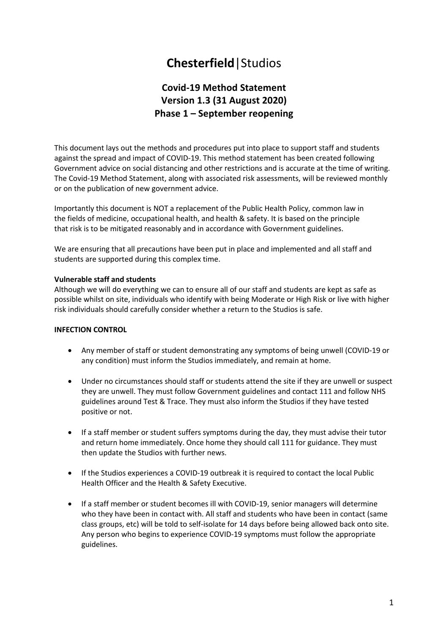# **Chesterfield**|Studios

# **Covid-19 Method Statement Version 1.3 (31 August 2020) Phase 1 – September reopening**

This document lays out the methods and procedures put into place to support staff and students against the spread and impact of COVID-19. This method statement has been created following Government advice on social distancing and other restrictions and is accurate at the time of writing. The Covid-19 Method Statement, along with associated risk assessments, will be reviewed monthly or on the publication of new government advice.

Importantly this document is NOT a replacement of the Public Health Policy, common law in the fields of medicine, occupational health, and health & safety. It is based on the principle that risk is to be mitigated reasonably and in accordance with Government guidelines.

We are ensuring that all precautions have been put in place and implemented and all staff and students are supported during this complex time.

#### **Vulnerable staff and students**

Although we will do everything we can to ensure all of our staff and students are kept as safe as possible whilst on site, individuals who identify with being Moderate or High Risk or live with higher risk individuals should carefully consider whether a return to the Studios is safe.

#### **INFECTION CONTROL**

- Any member of staff or student demonstrating any symptoms of being unwell (COVID-19 or any condition) must inform the Studios immediately, and remain at home.
- Under no circumstances should staff or students attend the site if they are unwell or suspect they are unwell. They must follow Government guidelines and contact 111 and follow NHS guidelines around Test & Trace. They must also inform the Studios if they have tested positive or not.
- If a staff member or student suffers symptoms during the day, they must advise their tutor and return home immediately. Once home they should call 111 for guidance. They must then update the Studios with further news.
- If the Studios experiences a COVID-19 outbreak it is required to contact the local Public Health Officer and the Health & Safety Executive.
- If a staff member or student becomes ill with COVID-19, senior managers will determine who they have been in contact with. All staff and students who have been in contact (same class groups, etc) will be told to self-isolate for 14 days before being allowed back onto site. Any person who begins to experience COVID-19 symptoms must follow the appropriate guidelines.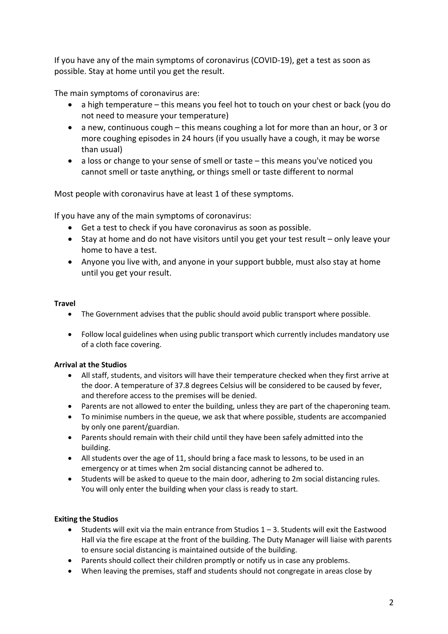If you have any of the main symptoms of coronavirus (COVID-19), get a test as soon as possible. Stay at home until you get the result.

The main symptoms of coronavirus are:

- a high temperature this means you feel hot to touch on your chest or back (you do not need to measure your temperature)
- a new, continuous cough this means coughing a lot for more than an hour, or 3 or more coughing episodes in 24 hours (if you usually have a cough, it may be worse than usual)
- a loss or change to your sense of smell or taste this means you've noticed you cannot smell or taste anything, or things smell or taste different to normal

Most people with coronavirus have at least 1 of these symptoms.

If you have any of the main symptoms of coronavirus:

- Get a test to check if you have coronavirus as soon as possible.
- Stay at home and do not have visitors until you get your test result only leave your home to have a test.
- Anyone you live with, and anyone in your support bubble, must also stay at home until you get your result.

#### **Travel**

- The Government advises that the public should avoid public transport where possible.
- Follow local guidelines when using public transport which currently includes mandatory use of a cloth face covering.

# **Arrival at the Studios**

- All staff, students, and visitors will have their temperature checked when they first arrive at the door. A temperature of 37.8 degrees Celsius will be considered to be caused by fever, and therefore access to the premises will be denied.
- Parents are not allowed to enter the building, unless they are part of the chaperoning team.
- To minimise numbers in the queue, we ask that where possible, students are accompanied by only one parent/guardian.
- Parents should remain with their child until they have been safely admitted into the building.
- All students over the age of 11, should bring a face mask to lessons, to be used in an emergency or at times when 2m social distancing cannot be adhered to.
- Students will be asked to queue to the main door, adhering to 2m social distancing rules. You will only enter the building when your class is ready to start.

# **Exiting the Studios**

- Students will exit via the main entrance from Studios 1 3. Students will exit the Eastwood Hall via the fire escape at the front of the building. The Duty Manager will liaise with parents to ensure social distancing is maintained outside of the building.
- Parents should collect their children promptly or notify us in case any problems.
- When leaving the premises, staff and students should not congregate in areas close by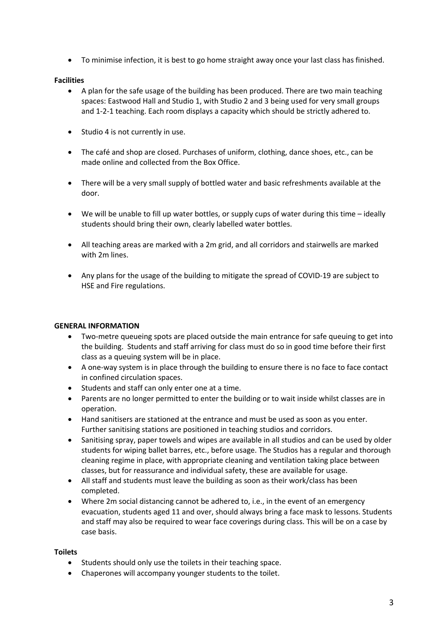• To minimise infection, it is best to go home straight away once your last class has finished.

#### **Facilities**

- A plan for the safe usage of the building has been produced. There are two main teaching spaces: Eastwood Hall and Studio 1, with Studio 2 and 3 being used for very small groups and 1-2-1 teaching. Each room displays a capacity which should be strictly adhered to.
- Studio 4 is not currently in use.
- The café and shop are closed. Purchases of uniform, clothing, dance shoes, etc., can be made online and collected from the Box Office.
- There will be a very small supply of bottled water and basic refreshments available at the door.
- We will be unable to fill up water bottles, or supply cups of water during this time ideally students should bring their own, clearly labelled water bottles.
- All teaching areas are marked with a 2m grid, and all corridors and stairwells are marked with 2m lines.
- Any plans for the usage of the building to mitigate the spread of COVID-19 are subject to HSE and Fire regulations.

# **GENERAL INFORMATION**

- Two-metre queueing spots are placed outside the main entrance for safe queuing to get into the building. Students and staff arriving for class must do so in good time before their first class as a queuing system will be in place.
- A one-way system is in place through the building to ensure there is no face to face contact in confined circulation spaces.
- Students and staff can only enter one at a time.
- Parents are no longer permitted to enter the building or to wait inside whilst classes are in operation.
- Hand sanitisers are stationed at the entrance and must be used as soon as you enter. Further sanitising stations are positioned in teaching studios and corridors.
- Sanitising spray, paper towels and wipes are available in all studios and can be used by older students for wiping ballet barres, etc., before usage. The Studios has a regular and thorough cleaning regime in place, with appropriate cleaning and ventilation taking place between classes, but for reassurance and individual safety, these are available for usage.
- All staff and students must leave the building as soon as their work/class has been completed.
- Where 2m social distancing cannot be adhered to, i.e., in the event of an emergency evacuation, students aged 11 and over, should always bring a face mask to lessons. Students and staff may also be required to wear face coverings during class. This will be on a case by case basis.

#### **Toilets**

- Students should only use the toilets in their teaching space.
- Chaperones will accompany younger students to the toilet.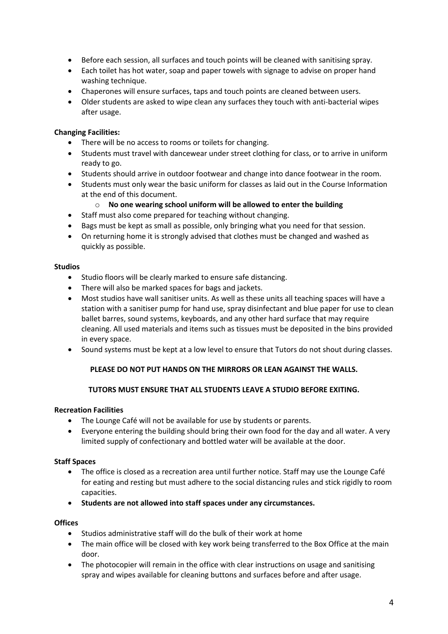- Before each session, all surfaces and touch points will be cleaned with sanitising spray.
- Each toilet has hot water, soap and paper towels with signage to advise on proper hand washing technique.
- Chaperones will ensure surfaces, taps and touch points are cleaned between users.
- Older students are asked to wipe clean any surfaces they touch with anti-bacterial wipes after usage.

# **Changing Facilities:**

- There will be no access to rooms or toilets for changing.
- Students must travel with dancewear under street clothing for class, or to arrive in uniform ready to go.
- Students should arrive in outdoor footwear and change into dance footwear in the room.
- Students must only wear the basic uniform for classes as laid out in the Course Information at the end of this document.

# o **No one wearing school uniform will be allowed to enter the building**

- Staff must also come prepared for teaching without changing.
- Bags must be kept as small as possible, only bringing what you need for that session.
- On returning home it is strongly advised that clothes must be changed and washed as quickly as possible.

#### **Studios**

- Studio floors will be clearly marked to ensure safe distancing.
- There will also be marked spaces for bags and jackets.
- Most studios have wall sanitiser units. As well as these units all teaching spaces will have a station with a sanitiser pump for hand use, spray disinfectant and blue paper for use to clean ballet barres, sound systems, keyboards, and any other hard surface that may require cleaning. All used materials and items such as tissues must be deposited in the bins provided in every space.
- Sound systems must be kept at a low level to ensure that Tutors do not shout during classes.

# **PLEASE DO NOT PUT HANDS ON THE MIRRORS OR LEAN AGAINST THE WALLS.**

# **TUTORS MUST ENSURE THAT ALL STUDENTS LEAVE A STUDIO BEFORE EXITING.**

# **Recreation Facilities**

- The Lounge Café will not be available for use by students or parents.
- Everyone entering the building should bring their own food for the day and all water. A very limited supply of confectionary and bottled water will be available at the door.

# **Staff Spaces**

- The office is closed as a recreation area until further notice. Staff may use the Lounge Café for eating and resting but must adhere to the social distancing rules and stick rigidly to room capacities.
- **Students are not allowed into staff spaces under any circumstances.**

# **Offices**

- Studios administrative staff will do the bulk of their work at home
- The main office will be closed with key work being transferred to the Box Office at the main door.
- The photocopier will remain in the office with clear instructions on usage and sanitising spray and wipes available for cleaning buttons and surfaces before and after usage.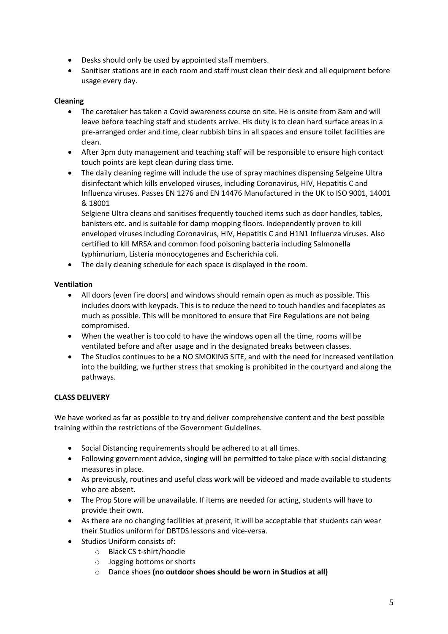- Desks should only be used by appointed staff members.
- Sanitiser stations are in each room and staff must clean their desk and all equipment before usage every day.

# **Cleaning**

- The caretaker has taken a Covid awareness course on site. He is onsite from 8am and will leave before teaching staff and students arrive. His duty is to clean hard surface areas in a pre-arranged order and time, clear rubbish bins in all spaces and ensure toilet facilities are clean.
- After 3pm duty management and teaching staff will be responsible to ensure high contact touch points are kept clean during class time.
- The daily cleaning regime will include the use of spray machines dispensing Selgeine Ultra disinfectant which kills enveloped viruses, including Coronavirus, HIV, Hepatitis C and Influenza viruses. Passes EN 1276 and EN 14476 Manufactured in the UK to ISO 9001, 14001 & 18001

Selgiene Ultra cleans and sanitises frequently touched items such as door handles, tables, banisters etc. and is suitable for damp mopping floors. Independently proven to kill enveloped viruses including Coronavirus, HIV, Hepatitis C and H1N1 Influenza viruses. Also certified to kill MRSA and common food poisoning bacteria including Salmonella typhimurium, Listeria monocytogenes and Escherichia coli.

• The daily cleaning schedule for each space is displayed in the room.

# **Ventilation**

- All doors (even fire doors) and windows should remain open as much as possible. This includes doors with keypads. This is to reduce the need to touch handles and faceplates as much as possible. This will be monitored to ensure that Fire Regulations are not being compromised.
- When the weather is too cold to have the windows open all the time, rooms will be ventilated before and after usage and in the designated breaks between classes.
- The Studios continues to be a NO SMOKING SITE, and with the need for increased ventilation into the building, we further stress that smoking is prohibited in the courtyard and along the pathways.

# **CLASS DELIVERY**

We have worked as far as possible to try and deliver comprehensive content and the best possible training within the restrictions of the Government Guidelines.

- Social Distancing requirements should be adhered to at all times.
- Following government advice, singing will be permitted to take place with social distancing measures in place.
- As previously, routines and useful class work will be videoed and made available to students who are absent.
- The Prop Store will be unavailable. If items are needed for acting, students will have to provide their own.
- As there are no changing facilities at present, it will be acceptable that students can wear their Studios uniform for DBTDS lessons and vice-versa.
- Studios Uniform consists of:
	- o Black CS t-shirt/hoodie
	- o Jogging bottoms or shorts
	- o Dance shoes **(no outdoor shoes should be worn in Studios at all)**